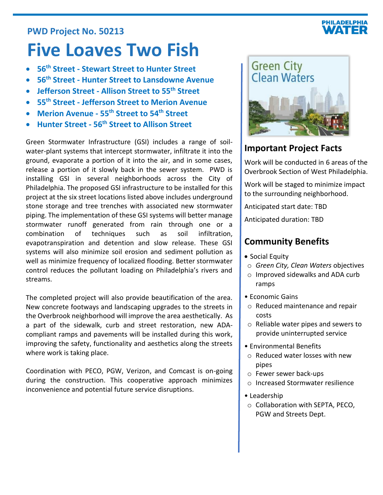# **PWD Project No. 50213**

# **Five Loaves Two Fish**

- **56th Street - Stewart Street to Hunter Street**
- **56th Street - Hunter Street to Lansdowne Avenue**
- **Jefferson Street - Allison Street to 55th Street**
- **55th Street - Jefferson Street to Merion Avenue**
- **Merion Avenue - 55th Street to 54th Street**
- **Hunter Street - 56th Street to Allison Street**

Green Stormwater Infrastructure (GSI) includes a range of soilwater-plant systems that intercept stormwater, infiltrate it into the ground, evaporate a portion of it into the air, and in some cases, release a portion of it slowly back in the sewer system. PWD is installing GSI in several neighborhoods across the City of Philadelphia. The proposed GSI infrastructure to be installed for this project at the six street locations listed above includes underground stone storage and tree trenches with associated new stormwater piping. The implementation of these GSI systems will better manage stormwater runoff generated from rain through one or a combination of techniques such as soil infiltration, evapotranspiration and detention and slow release. These GSI systems will also minimize soil erosion and sediment pollution as well as minimize frequency of localized flooding. Better stormwater control reduces the pollutant loading on Philadelphia's rivers and streams.

The completed project will also provide beautification of the area. New concrete footways and landscaping upgrades to the streets in the Overbrook neighborhood will improve the area aesthetically. As a part of the sidewalk, curb and street restoration, new ADAcompliant ramps and pavements will be installed during this work, improving the safety, functionality and aesthetics along the streets where work is taking place.

Coordination with PECO, PGW, Verizon, and Comcast is on-going during the construction. This cooperative approach minimizes inconvenience and potential future service disruptions.



# **Important Project Facts**

Work will be conducted in 6 areas of the Overbrook Section of West Philadelphia.

Work will be staged to minimize impact to the surrounding neighborhood.

Anticipated start date: TBD

Anticipated duration: TBD

# **Community Benefits**

- Social Equity
- o *Green City, Clean Waters* objectives
- o Improved sidewalks and ADA curb ramps
- Economic Gains
	- o Reduced maintenance and repair costs
	- o Reliable water pipes and sewers to provide uninterrupted service
- Environmental Benefits
- o Reduced water losses with new pipes
- o Fewer sewer back-ups
- o Increased Stormwater resilience
- Leadership
- o Collaboration with SEPTA, PECO, PGW and Streets Dept.